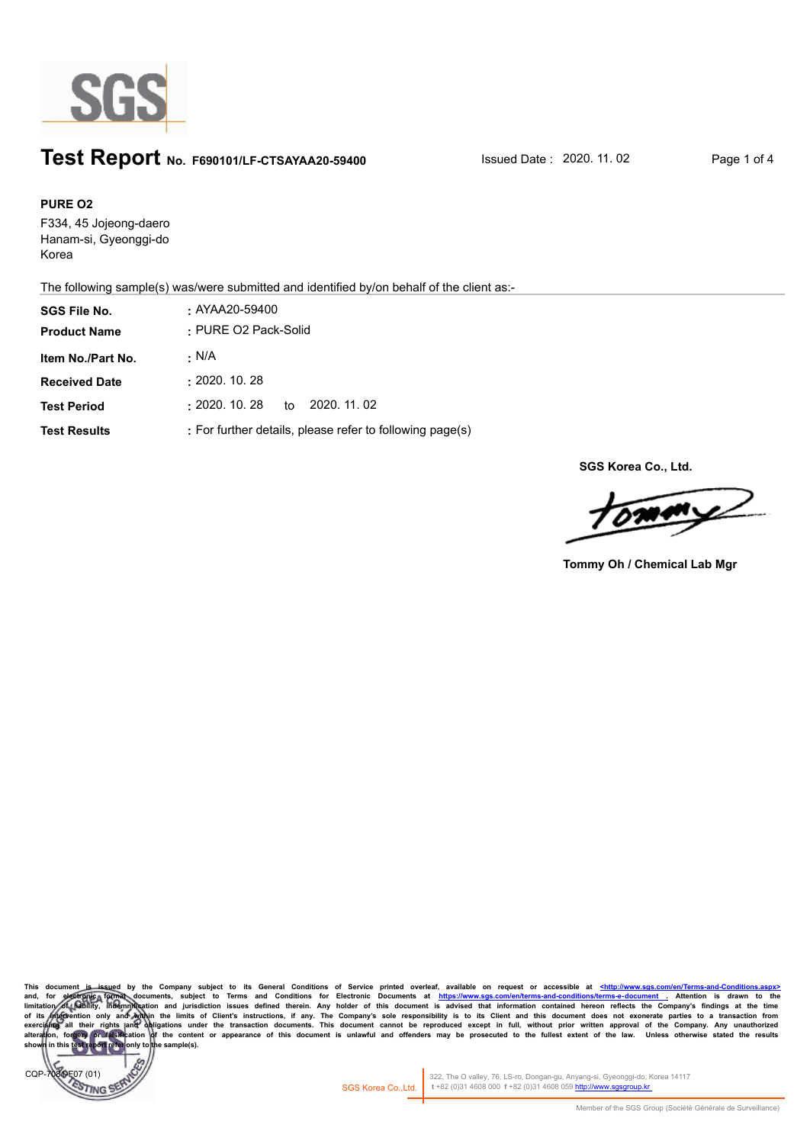

## **Test Report** No. F690101/LF-CTSAYAA20-59400 **Issued Date : 2020. 11. 02** Page 1 of 4

#### **PURE O2**

F334, 45 Jojeong-daero Hanam-si, Gyeonggi-do Korea

The following sample(s) was/were submitted and identified by/on behalf of the client as:-

| <b>SGS File No.</b>  | . AYAA20-59400                                           |  |  |
|----------------------|----------------------------------------------------------|--|--|
| <b>Product Name</b>  | : PURE O2 Pack-Solid                                     |  |  |
| Item No./Part No.    | · N/A                                                    |  |  |
| <b>Received Date</b> | : 2020.10.28                                             |  |  |
| <b>Test Period</b>   | $\pm 2020.$ 10. 28<br>to 2020, 11, 02                    |  |  |
| <b>Test Results</b>  | : For further details, please refer to following page(s) |  |  |

**SGS Korea Co., Ltd.**

 $\sqrt{M}$ 

**Tommy Oh / Chemical Lab Mgr**

This document is issued by the Company subject to its General Conditions of Service printed overleaf, available on request or accessible at <u>shttp://www.sgs.com/en/Terms-and-Conditions/taspx></u><br>limitation of prothogonal doc of its intervention only and within the limits of Client's instructions, if any. The Company's sole responsibility is to its Client and this document does not exonerate parties to a transaction from exercising all their ri sample(s).



322, The O valley, 76, LS-ro, Dongan-gu, Anyang-si, Gyeonggi-do, Korea 14117 SGS Korea Co.,Ltd. **t** +82 (0)31 4608 000 **f** +82 (0)31 4608 059 http://www.sgsgroup.kr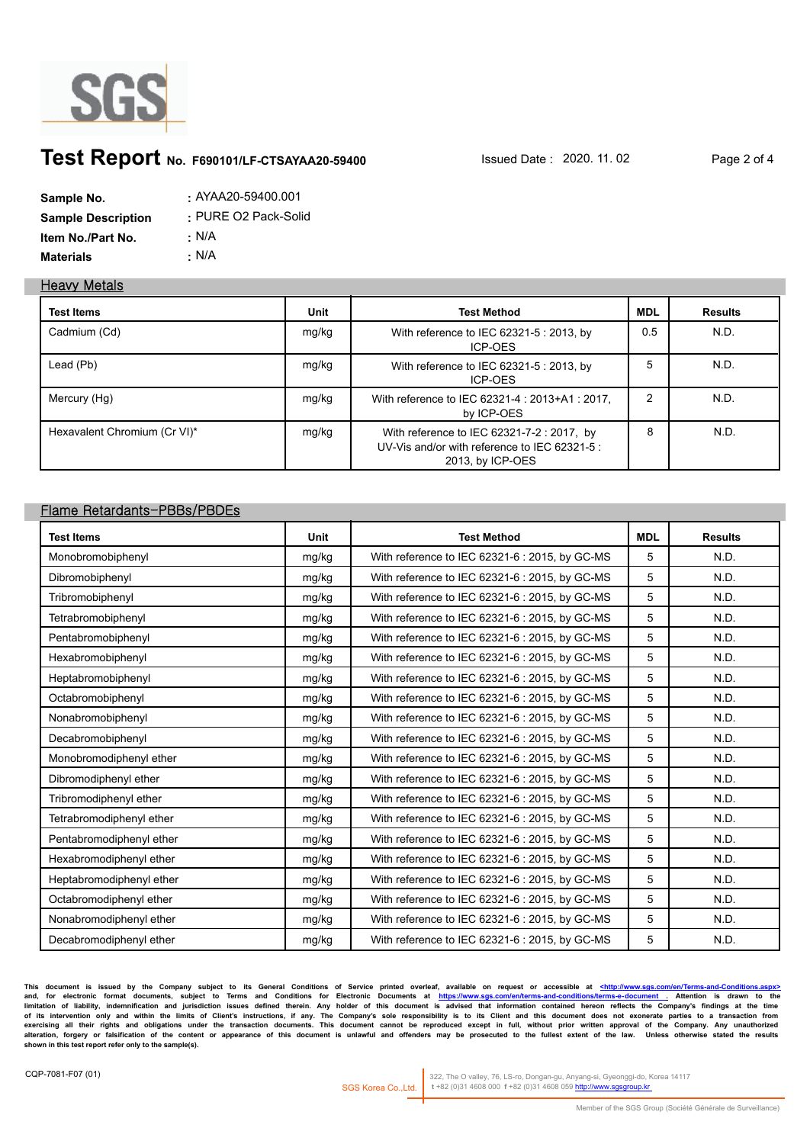

# **Test Report** No. F690101/LF-CTSAYAA20-59400 **Issued Date : 2020. 11. 02** Page 2 of 4

| Sample No.                | $: AYAA20-59400.001$ |
|---------------------------|----------------------|
| <b>Sample Description</b> | · PURE O2 Pack-Solid |
| <b>Item No./Part No.</b>  | : N/A                |
| <b>Materials</b>          | · N/A                |

#### **Heavy Metals**

| <b>Test Items</b>            | Unit  | <b>Test Method</b>                                                                                              | <b>MDL</b> | <b>Results</b> |
|------------------------------|-------|-----------------------------------------------------------------------------------------------------------------|------------|----------------|
| Cadmium (Cd)                 | mg/kg | With reference to IEC 62321-5 : 2013, by<br>ICP-OES                                                             | 0.5        | N.D.           |
| Lead (Pb)                    | mg/kg | With reference to IEC 62321-5 : 2013, by<br>ICP-OES                                                             | 5          | N.D.           |
| Mercury (Hg)                 | mg/kg | With reference to IEC 62321-4 : 2013+A1 : 2017,<br>by ICP-OES                                                   | 2          | N.D.           |
| Hexavalent Chromium (Cr VI)* | mg/kg | With reference to IEC 62321-7-2 : 2017, by<br>UV-Vis and/or with reference to IEC 62321-5 :<br>2013, by ICP-OES | 8          | N.D.           |

#### **Flame Retardants-PBBs/PBDEs**

| <b>Test Items</b>        | Unit  | <b>Test Method</b>                             | <b>MDL</b> | <b>Results</b> |
|--------------------------|-------|------------------------------------------------|------------|----------------|
| Monobromobiphenyl        | mg/kg | With reference to IEC 62321-6 : 2015, by GC-MS | 5          | N.D.           |
| Dibromobiphenyl          | mg/kg | With reference to IEC 62321-6 : 2015, by GC-MS | 5          | N.D.           |
| Tribromobiphenyl         | mg/kg | With reference to IEC 62321-6 : 2015, by GC-MS | 5          | N.D.           |
| Tetrabromobiphenyl       | mg/kg | With reference to IEC 62321-6 : 2015, by GC-MS | 5          | N.D.           |
| Pentabromobiphenyl       | mg/kg | With reference to IEC 62321-6 : 2015, by GC-MS | 5          | N.D.           |
| Hexabromobiphenyl        | mg/kg | With reference to IEC 62321-6 : 2015, by GC-MS | 5          | N.D.           |
| Heptabromobiphenyl       | mg/kg | With reference to IEC 62321-6 : 2015, by GC-MS | 5          | N.D.           |
| Octabromobiphenyl        | mg/kg | With reference to IEC 62321-6 : 2015, by GC-MS | 5          | N.D.           |
| Nonabromobiphenyl        | mg/kg | With reference to IEC 62321-6 : 2015, by GC-MS | 5          | N.D.           |
| Decabromobiphenyl        | mg/kg | With reference to IEC 62321-6 : 2015, by GC-MS | 5          | N.D.           |
| Monobromodiphenyl ether  | mg/kg | With reference to IEC 62321-6 : 2015, by GC-MS | 5          | N.D.           |
| Dibromodiphenyl ether    | mg/kg | With reference to IEC 62321-6 : 2015, by GC-MS | 5          | N.D.           |
| Tribromodiphenyl ether   | mg/kg | With reference to IEC 62321-6 : 2015, by GC-MS | 5          | N.D.           |
| Tetrabromodiphenyl ether | mg/kg | With reference to IEC 62321-6 : 2015, by GC-MS | 5          | N.D.           |
| Pentabromodiphenyl ether | mg/kg | With reference to IEC 62321-6 : 2015, by GC-MS | 5          | N.D.           |
| Hexabromodiphenyl ether  | mg/kg | With reference to IEC 62321-6 : 2015, by GC-MS | 5          | N.D.           |
| Heptabromodiphenyl ether | mg/kg | With reference to IEC 62321-6 : 2015, by GC-MS | 5          | N.D.           |
| Octabromodiphenyl ether  | mg/kg | With reference to IEC 62321-6 : 2015, by GC-MS | 5          | N.D.           |
| Nonabromodiphenyl ether  | mg/kg | With reference to IEC 62321-6 : 2015, by GC-MS | 5          | N.D.           |
| Decabromodiphenyl ether  | mg/kg | With reference to IEC 62321-6 : 2015, by GC-MS | 5          | N.D.           |

This document is issued by the Company subject to its General Conditions of Service printed overleaf, available on request or accessible at <u>shttp://www.sgs.com/en/Terms-and-Conditions/taspx></u><br>limitation of liability, inde exercising all their rights and obligations under the transaction documents. This document cannot be reproduced except in full, without prior written approval of the Company. Any unauthorized<br>alteration, forgery or falsifi

322, The O valley, 76, LS-ro, Dongan-gu, Anyang-si, Gyeonggi-do, Korea 14117 SGS Korea Co.,Ltd. **t** +82 (0)31 4608 000 **f** +82 (0)31 4608 059 http://www.sgsgroup.kr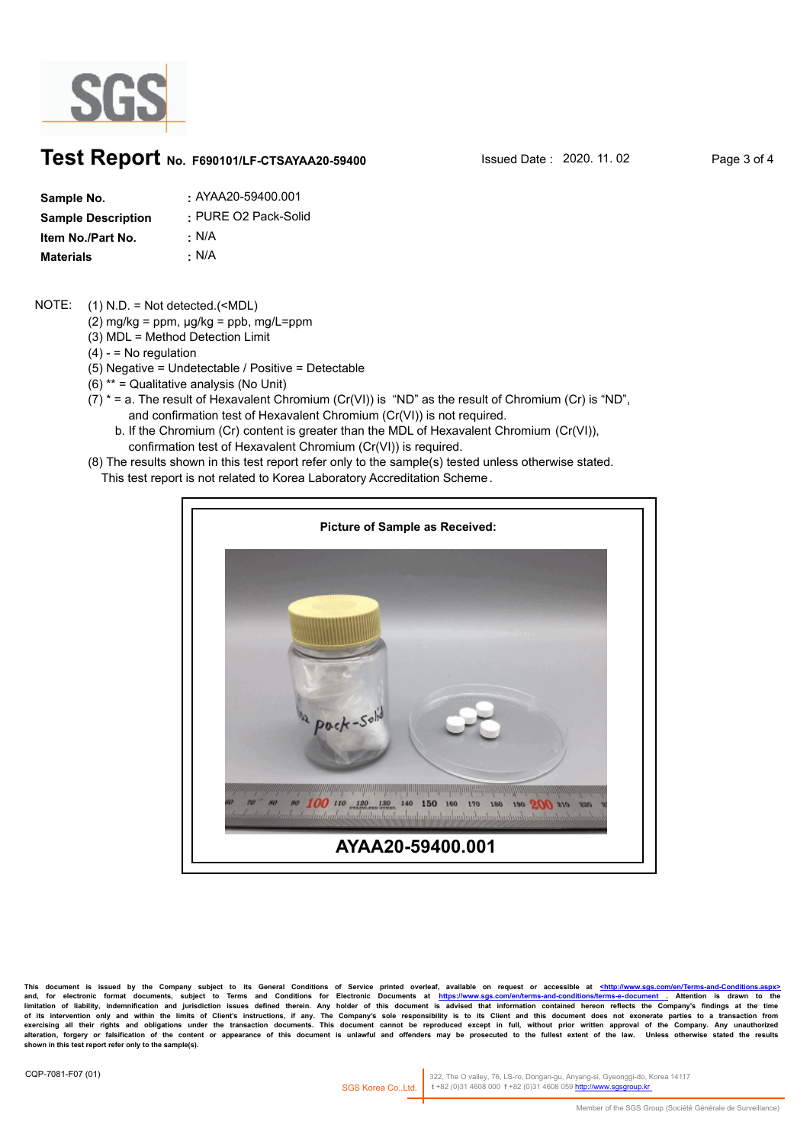

### **Test Report** No. F690101/LF-CTSAYAA20-59400 **ISSued Date : 2020. 11. 02** Page 3 of 4

| Sample No.                | $\cdot$ AYAA20-59400.001 |
|---------------------------|--------------------------|
| <b>Sample Description</b> | · PURE O2 Pack-Solid     |
| Item No./Part No.         | : N/A                    |
| <b>Materials</b>          | • N/A                    |

#### (1) N.D. = Not detected.(<MDL) NOTE:

- (2) mg/kg =  $ppm$ ,  $\mu$ g/kg =  $ppb$ , mg/L= $ppm$
- (3) MDL = Method Detection Limit
- $(4) -$  = No regulation
- (5) Negative = Undetectable / Positive = Detectable
- (6) \*\* = Qualitative analysis (No Unit)
- $(7)$  \* = a. The result of Hexavalent Chromium (Cr(VI)) is "ND" as the result of Chromium (Cr) is "ND", and confirmation test of Hexavalent Chromium (Cr(VI)) is not required.
	- b. If the Chromium (Cr) content is greater than the MDL of Hexavalent Chromium (Cr(VI)), confirmation test of Hexavalent Chromium (Cr(VI)) is required.
- (8) The results shown in this test report refer only to the sample(s) tested unless otherwise stated.
	- This test report is not related to Korea Laboratory Accreditation Scheme .



**This document is issued by the Company subject to its General Conditions of Service printed overleaf, available on request or accessible at <http://www.sgs.com/en/Terms-and-Conditions.aspx>** and, for electronic format documents, subject to Terms and Conditions for Electronic Documents at <u>https://www.sgs.com/en/terms-and-conditions/terms-e-document .</u> Attention is drawn to the<br>limitation of liability, indemnif exercising all their rights and obligations under the transaction documents. This document cannot be reproduced except in full, without prior written approval of the Company. Any unauthorized<br>alteration, forgery or falsifi

322, The O valley, 76, LS-ro, Dongan-gu, Anyang-si, Gyeonggi-do, Korea 14117 SGS Korea Co.,Ltd. t +82 (0)31 4608 000 f +82 (0)31 4608 059 ht